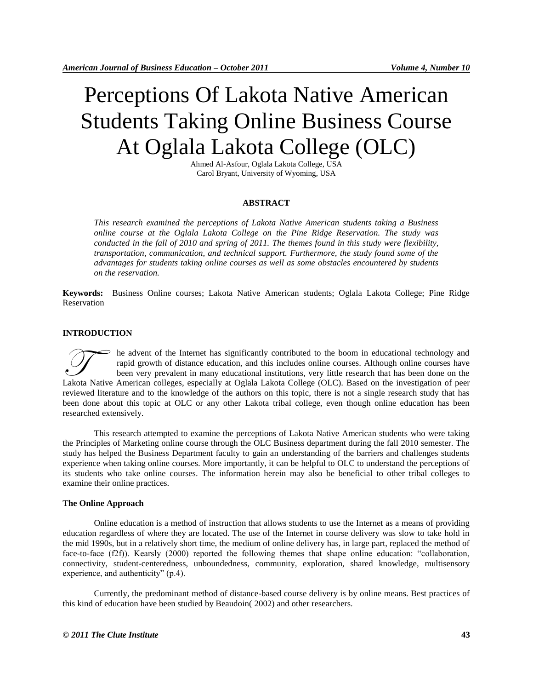# Perceptions Of Lakota Native American Students Taking Online Business Course At Oglala Lakota College (OLC)

Ahmed Al-Asfour, Oglala Lakota College, USA Carol Bryant, University of Wyoming, USA

# **ABSTRACT**

*This research examined the perceptions of Lakota Native American students taking a Business online course at the Oglala Lakota College on the Pine Ridge Reservation. The study was conducted in the fall of 2010 and spring of 2011. The themes found in this study were flexibility, transportation, communication, and technical support. Furthermore, the study found some of the advantages for students taking online courses as well as some obstacles encountered by students on the reservation.* 

**Keywords:** Business Online courses; Lakota Native American students; Oglala Lakota College; Pine Ridge Reservation

## **INTRODUCTION**

he advent of the Internet has significantly contributed to the boom in educational technology and rapid growth of distance education, and this includes online courses. Although online courses have been very prevalent in many educational institutions, very little research that has been done on the In the advent of the Internet has significantly contributed to the boom in educational technology and rapid growth of distance education, and this includes online courses. Although online courses have been very prevalent i reviewed literature and to the knowledge of the authors on this topic, there is not a single research study that has been done about this topic at OLC or any other Lakota tribal college, even though online education has been researched extensively.

This research attempted to examine the perceptions of Lakota Native American students who were taking the Principles of Marketing online course through the OLC Business department during the fall 2010 semester. The study has helped the Business Department faculty to gain an understanding of the barriers and challenges students experience when taking online courses. More importantly, it can be helpful to OLC to understand the perceptions of its students who take online courses. The information herein may also be beneficial to other tribal colleges to examine their online practices.

## **The Online Approach**

Online education is a method of instruction that allows students to use the Internet as a means of providing education regardless of where they are located. The use of the Internet in course delivery was slow to take hold in the mid 1990s, but in a relatively short time, the medium of online delivery has, in large part, replaced the method of face-to-face (f2f)). Kearsly (2000) reported the following themes that shape online education: "collaboration, connectivity, student-centeredness, unboundedness, community, exploration, shared knowledge, multisensory experience, and authenticity" (p.4).

Currently, the predominant method of distance-based course delivery is by online means. Best practices of this kind of education have been studied by Beaudoin( 2002) and other researchers.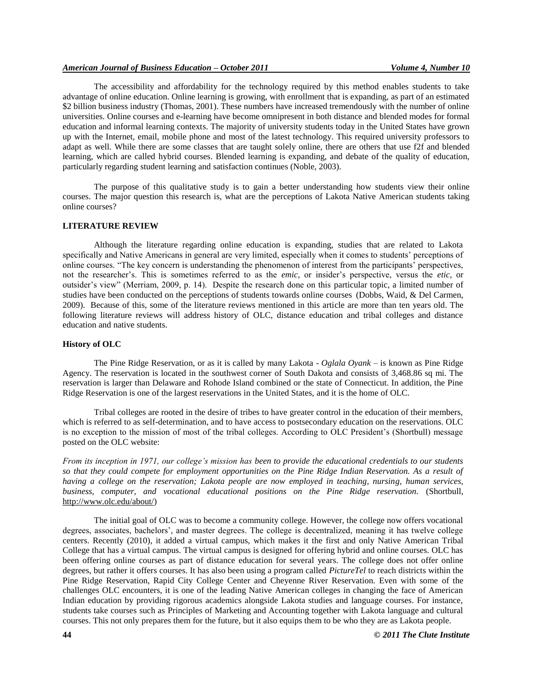The accessibility and affordability for the technology required by this method enables students to take advantage of online education. Online learning is growing, with enrollment that is expanding, as part of an estimated \$2 billion business industry (Thomas, 2001). These numbers have increased tremendously with the number of online universities. Online courses and e-learning have become omnipresent in both distance and blended modes for formal education and informal learning contexts. The majority of university students today in the United States have grown up with the Internet, email, mobile phone and most of the latest technology. This required university professors to adapt as well. While there are some classes that are taught solely online, there are others that use f2f and blended learning, which are called hybrid courses. Blended learning is expanding, and debate of the quality of education, particularly regarding student learning and satisfaction continues (Noble, 2003).

The purpose of this qualitative study is to gain a better understanding how students view their online courses. The major question this research is, what are the perceptions of Lakota Native American students taking online courses?

# **LITERATURE REVIEW**

Although the literature regarding online education is expanding, studies that are related to Lakota specifically and Native Americans in general are very limited, especially when it comes to students' perceptions of online courses. "The key concern is understanding the phenomenon of interest from the participants' perspectives, not the researcher's. This is sometimes referred to as the *emic,* or insider's perspective, versus the *etic,* or outsider's view" (Merriam, 2009, p. 14). Despite the research done on this particular topic, a limited number of studies have been conducted on the perceptions of students towards online courses (Dobbs, Waid, & Del Carmen, 2009). Because of this, some of the literature reviews mentioned in this article are more than ten years old. The following literature reviews will address history of OLC, distance education and tribal colleges and distance education and native students.

#### **History of OLC**

The Pine Ridge Reservation, or as it is called by many Lakota - *Oglala Oyank –* is known as Pine Ridge Agency. The reservation is located in the southwest corner of South Dakota and consists of 3,468.86 sq mi. The reservation is larger than Delaware and Rohode Island combined or the state of Connecticut. In addition, the Pine Ridge Reservation is one of the largest reservations in the United States, and it is the home of OLC.

Tribal colleges are rooted in the desire of tribes to have greater control in the education of their members, which is referred to as self-determination, and to have access to postsecondary education on the reservations. OLC is no exception to the mission of most of the tribal colleges. According to OLC President's (Shortbull) message posted on the OLC website:

*From its inception in 1971, our college's mission has been to provide the educational credentials to our students so that they could compete for employment opportunities on the Pine Ridge Indian Reservation. As a result of having a college on the reservation; Lakota people are now employed in teaching, nursing, human services, business, computer, and vocational educational positions on the Pine Ridge reservation.* (Shortbull, [http://www.olc.edu/about/\)](http://www.olc.edu/about/)

The initial goal of OLC was to become a community college. However, the college now offers vocational degrees, associates, bachelors', and master degrees. The college is decentralized, meaning it has twelve college centers. Recently (2010), it added a virtual campus, which makes it the first and only Native American Tribal College that has a virtual campus. The virtual campus is designed for offering hybrid and online courses. OLC has been offering online courses as part of distance education for several years. The college does not offer online degrees, but rather it offers courses. It has also been using a program called *PictureTel* to reach districts within the Pine Ridge Reservation, Rapid City College Center and Cheyenne River Reservation. Even with some of the challenges OLC encounters, it is one of the leading Native American colleges in changing the face of American Indian education by providing rigorous academics alongside Lakota studies and language courses. For instance, students take courses such as Principles of Marketing and Accounting together with Lakota language and cultural courses. This not only prepares them for the future, but it also equips them to be who they are as Lakota people.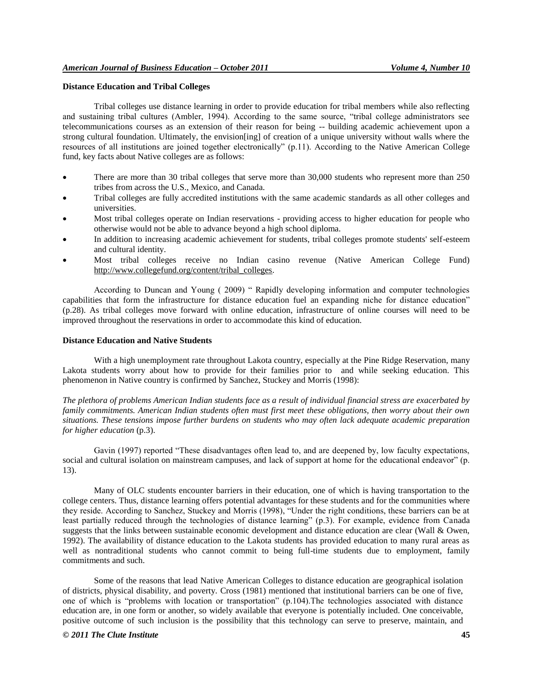## **Distance Education and Tribal Colleges**

Tribal colleges use distance learning in order to provide education for tribal members while also reflecting and sustaining tribal cultures (Ambler, 1994). According to the same source, "tribal college administrators see telecommunications courses as an extension of their reason for being -- building academic achievement upon a strong cultural foundation. Ultimately, the envision[ing] of creation of a unique university without walls where the resources of all institutions are joined together electronically" (p.11). According to the Native American College fund, key facts about Native colleges are as follows:

- There are more than 30 tribal colleges that serve more than 30,000 students who represent more than 250 tribes from across the U.S., Mexico, and Canada.
- Tribal colleges are fully accredited institutions with the same academic standards as all other colleges and universities.
- Most tribal colleges operate on Indian reservations providing access to higher education for people who otherwise would not be able to advance beyond a high school diploma.
- In addition to increasing academic achievement for students, tribal colleges promote students' self-esteem and cultural identity.
- Most tribal colleges receive no Indian casino revenue (Native American College Fund) http://www.collegefund.org/content/tribal\_colleges.

According to Duncan and Young ( 2009) " Rapidly developing information and computer technologies capabilities that form the infrastructure for distance education fuel an expanding niche for distance education" (p.28). As tribal colleges move forward with online education, infrastructure of online courses will need to be improved throughout the reservations in order to accommodate this kind of education.

## **Distance Education and Native Students**

With a high unemployment rate throughout Lakota country, especially at the Pine Ridge Reservation, many Lakota students worry about how to provide for their families prior to and while seeking education. This phenomenon in Native country is confirmed by Sanchez, Stuckey and Morris (1998):

*The plethora of problems American Indian students face as a result of individual financial stress are exacerbated by family commitments. American Indian students often must first meet these obligations, then worry about their own situations. These tensions impose further burdens on students who may often lack adequate academic preparation for higher education* (p.3).

Gavin (1997) reported "These disadvantages often lead to, and are deepened by, low faculty expectations, social and cultural isolation on mainstream campuses, and lack of support at home for the educational endeavor" (p. 13).

Many of OLC students encounter barriers in their education, one of which is having transportation to the college centers. Thus, distance learning offers potential advantages for these students and for the communities where they reside. According to Sanchez, Stuckey and Morris (1998), "Under the right conditions, these barriers can be at least partially reduced through the technologies of distance learning" (p.3). For example, evidence from Canada suggests that the links between sustainable economic development and distance education are clear (Wall & Owen, 1992). The availability of distance education to the Lakota students has provided education to many rural areas as well as nontraditional students who cannot commit to being full-time students due to employment, family commitments and such.

Some of the reasons that lead Native American Colleges to distance education are geographical isolation of districts, physical disability, and poverty. Cross (1981) mentioned that institutional barriers can be one of five, one of which is "problems with location or transportation" (p.104).The technologies associated with distance education are, in one form or another, so widely available that everyone is potentially included. One conceivable, positive outcome of such inclusion is the possibility that this technology can serve to preserve, maintain, and

#### *© 2011 The Clute Institute* **45**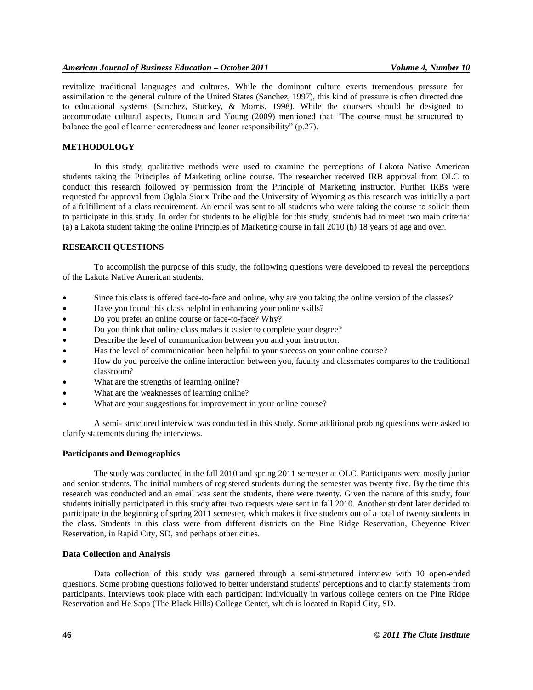revitalize traditional languages and cultures. While the dominant culture exerts tremendous pressure for assimilation to the general culture of the United States (Sanchez, 1997), this kind of pressure is often directed due to educational systems (Sanchez, Stuckey, & Morris, 1998). While the coursers should be designed to accommodate cultural aspects, Duncan and Young (2009) mentioned that "The course must be structured to balance the goal of learner centeredness and leaner responsibility" (p.27).

#### **METHODOLOGY**

In this study, qualitative methods were used to examine the perceptions of Lakota Native American students taking the Principles of Marketing online course. The researcher received IRB approval from OLC to conduct this research followed by permission from the Principle of Marketing instructor. Further IRBs were requested for approval from Oglala Sioux Tribe and the University of Wyoming as this research was initially a part of a fulfillment of a class requirement. An email was sent to all students who were taking the course to solicit them to participate in this study. In order for students to be eligible for this study, students had to meet two main criteria: (a) a Lakota student taking the online Principles of Marketing course in fall 2010 (b) 18 years of age and over.

# **RESEARCH QUESTIONS**

To accomplish the purpose of this study, the following questions were developed to reveal the perceptions of the Lakota Native American students.

- Since this class is offered face-to-face and online, why are you taking the online version of the classes?
- Have you found this class helpful in enhancing your online skills?
- Do you prefer an online course or face-to-face? Why?
- Do you think that online class makes it easier to complete your degree?
- Describe the level of communication between you and your instructor.
- Has the level of communication been helpful to your success on your online course?
- How do you perceive the online interaction between you, faculty and classmates compares to the traditional classroom?
- What are the strengths of learning online?
- What are the weaknesses of learning online?
- What are your suggestions for improvement in your online course?

A semi- structured interview was conducted in this study. Some additional probing questions were asked to clarify statements during the interviews.

#### **Participants and Demographics**

The study was conducted in the fall 2010 and spring 2011 semester at OLC. Participants were mostly junior and senior students. The initial numbers of registered students during the semester was twenty five. By the time this research was conducted and an email was sent the students, there were twenty. Given the nature of this study, four students initially participated in this study after two requests were sent in fall 2010. Another student later decided to participate in the beginning of spring 2011 semester, which makes it five students out of a total of twenty students in the class. Students in this class were from different districts on the Pine Ridge Reservation, Cheyenne River Reservation, in Rapid City, SD, and perhaps other cities.

#### **Data Collection and Analysis**

Data collection of this study was garnered through a semi-structured interview with 10 open-ended questions. Some probing questions followed to better understand students' perceptions and to clarify statements from participants. Interviews took place with each participant individually in various college centers on the Pine Ridge Reservation and He Sapa (The Black Hills) College Center, which is located in Rapid City, SD.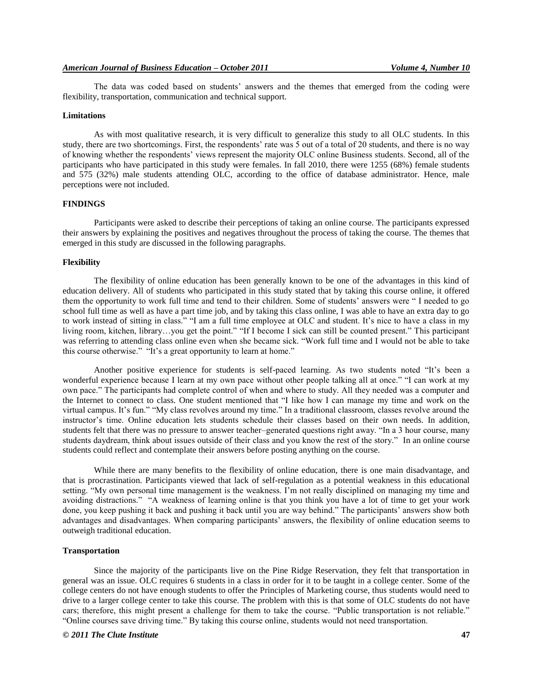The data was coded based on students' answers and the themes that emerged from the coding were flexibility, transportation, communication and technical support.

## **Limitations**

As with most qualitative research, it is very difficult to generalize this study to all OLC students. In this study, there are two shortcomings. First, the respondents' rate was 5 out of a total of 20 students, and there is no way of knowing whether the respondents' views represent the majority OLC online Business students. Second, all of the participants who have participated in this study were females. In fall 2010, there were 1255 (68%) female students and 575 (32%) male students attending OLC, according to the office of database administrator. Hence, male perceptions were not included.

#### **FINDINGS**

Participants were asked to describe their perceptions of taking an online course. The participants expressed their answers by explaining the positives and negatives throughout the process of taking the course. The themes that emerged in this study are discussed in the following paragraphs.

#### **Flexibility**

The flexibility of online education has been generally known to be one of the advantages in this kind of education delivery. All of students who participated in this study stated that by taking this course online, it offered them the opportunity to work full time and tend to their children. Some of students' answers were " I needed to go school full time as well as have a part time job, and by taking this class online, I was able to have an extra day to go to work instead of sitting in class." "I am a full time employee at OLC and student. It's nice to have a class in my living room, kitchen, library…you get the point." "If I become I sick can still be counted present." This participant was referring to attending class online even when she became sick. "Work full time and I would not be able to take this course otherwise." "It's a great opportunity to learn at home."

Another positive experience for students is self-paced learning. As two students noted "It's been a wonderful experience because I learn at my own pace without other people talking all at once." "I can work at my own pace." The participants had complete control of when and where to study. All they needed was a computer and the Internet to connect to class. One student mentioned that "I like how I can manage my time and work on the virtual campus. It's fun." "My class revolves around my time." In a traditional classroom, classes revolve around the instructor's time. Online education lets students schedule their classes based on their own needs. In addition, students felt that there was no pressure to answer teacher–generated questions right away. "In a 3 hour course, many students daydream, think about issues outside of their class and you know the rest of the story." In an online course students could reflect and contemplate their answers before posting anything on the course.

While there are many benefits to the flexibility of online education, there is one main disadvantage, and that is procrastination. Participants viewed that lack of self-regulation as a potential weakness in this educational setting. "My own personal time management is the weakness. I'm not really disciplined on managing my time and avoiding distractions." "A weakness of learning online is that you think you have a lot of time to get your work done, you keep pushing it back and pushing it back until you are way behind." The participants' answers show both advantages and disadvantages. When comparing participants' answers, the flexibility of online education seems to outweigh traditional education.

### **Transportation**

Since the majority of the participants live on the Pine Ridge Reservation, they felt that transportation in general was an issue. OLC requires 6 students in a class in order for it to be taught in a college center. Some of the college centers do not have enough students to offer the Principles of Marketing course, thus students would need to drive to a larger college center to take this course. The problem with this is that some of OLC students do not have cars; therefore, this might present a challenge for them to take the course. "Public transportation is not reliable." "Online courses save driving time." By taking this course online, students would not need transportation.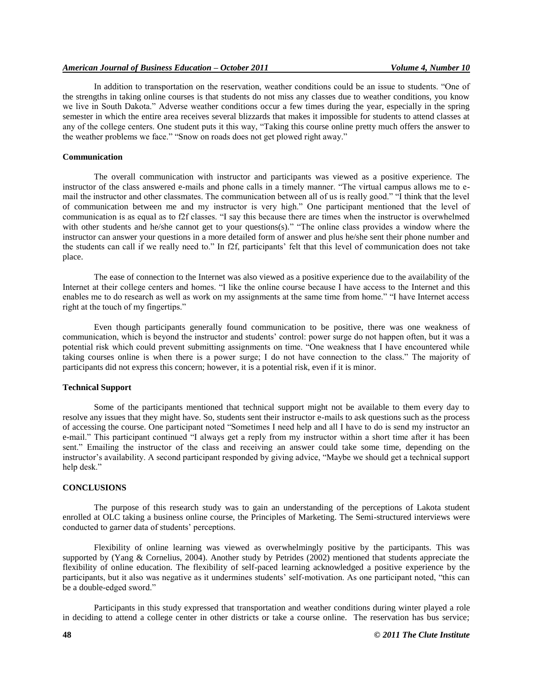In addition to transportation on the reservation, weather conditions could be an issue to students. "One of the strengths in taking online courses is that students do not miss any classes due to weather conditions, you know we live in South Dakota." Adverse weather conditions occur a few times during the year, especially in the spring semester in which the entire area receives several blizzards that makes it impossible for students to attend classes at any of the college centers. One student puts it this way, "Taking this course online pretty much offers the answer to the weather problems we face." "Snow on roads does not get plowed right away."

# **Communication**

The overall communication with instructor and participants was viewed as a positive experience. The instructor of the class answered e-mails and phone calls in a timely manner. "The virtual campus allows me to email the instructor and other classmates. The communication between all of us is really good." "I think that the level of communication between me and my instructor is very high." One participant mentioned that the level of communication is as equal as to f2f classes. "I say this because there are times when the instructor is overwhelmed with other students and he/she cannot get to your questions(s)." "The online class provides a window where the instructor can answer your questions in a more detailed form of answer and plus he/she sent their phone number and the students can call if we really need to." In f2f, participants' felt that this level of communication does not take place.

The ease of connection to the Internet was also viewed as a positive experience due to the availability of the Internet at their college centers and homes. "I like the online course because I have access to the Internet and this enables me to do research as well as work on my assignments at the same time from home." "I have Internet access right at the touch of my fingertips."

Even though participants generally found communication to be positive, there was one weakness of communication, which is beyond the instructor and students' control: power surge do not happen often, but it was a potential risk which could prevent submitting assignments on time. "One weakness that I have encountered while taking courses online is when there is a power surge; I do not have connection to the class." The majority of participants did not express this concern; however, it is a potential risk, even if it is minor.

# **Technical Support**

Some of the participants mentioned that technical support might not be available to them every day to resolve any issues that they might have. So, students sent their instructor e-mails to ask questions such as the process of accessing the course. One participant noted "Sometimes I need help and all I have to do is send my instructor an e-mail." This participant continued "I always get a reply from my instructor within a short time after it has been sent." Emailing the instructor of the class and receiving an answer could take some time, depending on the instructor's availability. A second participant responded by giving advice, "Maybe we should get a technical support help desk."

#### **CONCLUSIONS**

The purpose of this research study was to gain an understanding of the perceptions of Lakota student enrolled at OLC taking a business online course, the Principles of Marketing. The Semi-structured interviews were conducted to garner data of students' perceptions.

Flexibility of online learning was viewed as overwhelmingly positive by the participants. This was supported by (Yang & Cornelius, 2004). Another study by Petrides (2002) mentioned that students appreciate the flexibility of online education. The flexibility of self-paced learning acknowledged a positive experience by the participants, but it also was negative as it undermines students' self-motivation. As one participant noted, "this can be a double-edged sword."

Participants in this study expressed that transportation and weather conditions during winter played a role in deciding to attend a college center in other districts or take a course online. The reservation has bus service;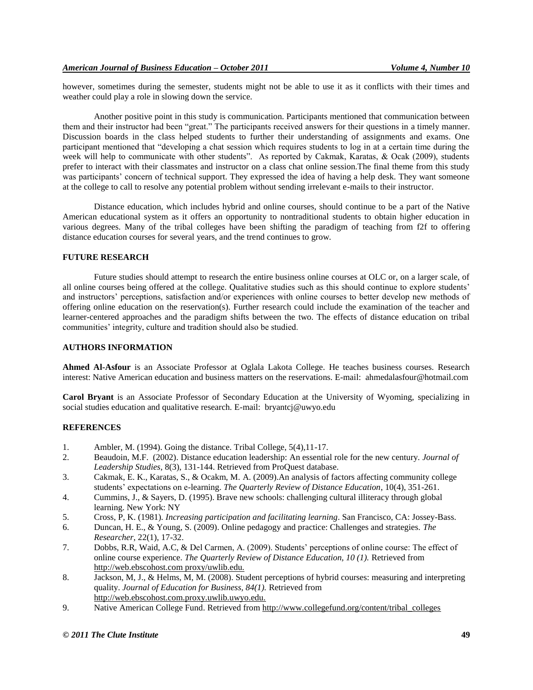however, sometimes during the semester, students might not be able to use it as it conflicts with their times and weather could play a role in slowing down the service.

Another positive point in this study is communication. Participants mentioned that communication between them and their instructor had been "great." The participants received answers for their questions in a timely manner. Discussion boards in the class helped students to further their understanding of assignments and exams. One participant mentioned that "developing a chat session which requires students to log in at a certain time during the week will help to communicate with other students". As reported by Cakmak, Karatas, & Ocak (2009), students prefer to interact with their classmates and instructor on a class chat online session.The final theme from this study was participants' concern of technical support. They expressed the idea of having a help desk. They want someone at the college to call to resolve any potential problem without sending irrelevant e-mails to their instructor.

Distance education, which includes hybrid and online courses, should continue to be a part of the Native American educational system as it offers an opportunity to nontraditional students to obtain higher education in various degrees. Many of the tribal colleges have been shifting the paradigm of teaching from f2f to offering distance education courses for several years, and the trend continues to grow.

# **FUTURE RESEARCH**

Future studies should attempt to research the entire business online courses at OLC or, on a larger scale, of all online courses being offered at the college. Qualitative studies such as this should continue to explore students' and instructors' perceptions, satisfaction and/or experiences with online courses to better develop new methods of offering online education on the reservation(s). Further research could include the examination of the teacher and learner-centered approaches and the paradigm shifts between the two. The effects of distance education on tribal communities' integrity, culture and tradition should also be studied.

#### **AUTHORS INFORMATION**

**Ahmed Al-Asfour** is an Associate Professor at Oglala Lakota College. He teaches business courses. Research interest: Native American education and business matters on the reservations. E-mail: ahmedalasfour@hotmail.com

**Carol Bryant** is an Associate Professor of Secondary Education at the University of Wyoming, specializing in social studies education and qualitative research. E-mail: bryantcj@uwyo.edu

## **REFERENCES**

- 1. Ambler, M. (1994). Going the distance. Tribal College, 5(4),11-17.
- 2. Beaudoin, M.F. (2002). Distance education leadership: An essential role for the new century. *Journal of Leadership Studies*, 8(3), 131-144. Retrieved from ProQuest database.
- 3. Cakmak, E. K., Karatas, S., & Ocakm, M. A. (2009).An analysis of factors affecting community college students' expectations on e-learning. *The Quarterly Review of Distance Education*, 10(4), 351-261.
- 4. Cummins, J., & Sayers, D. (1995). Brave new schools: challenging cultural illiteracy through global learning. New York: NY
- 5. Cross, P, K. (1981). *Increasing participation and facilitating learning*. San Francisco, CA: Jossey-Bass.
- 6. Duncan, H. E., & Young, S. (2009). Online pedagogy and practice: Challenges and strategies. *The Researcher*, 22(1), 17-32.
- 7. Dobbs, R.R, Waid, A.C, & Del Carmen, A. (2009). Students' perceptions of online course: The effect of online course experience. *The Quarterly Review of Distance Education, 10 (1).* Retrieved from http://web.ebscohost.com proxy/uwlib.edu.
- 8. Jackson, M, J., & Helms, M, M. (2008). Student perceptions of hybrid courses: measuring and interpreting quality. *Journal of Education for Business, 84(1).* Retrieved from [http://web.ebscohost.com.proxy.uwlib.uwyo.edu.](http://web.ebscohost.com.proxy.uwlib.uwyo.edu./)
- 9. Native American College Fund. Retrieved fro[m http://www.collegefund.org/content/tribal\\_colleges](http://www.collegefund.org/content/tribal_colleges)

## *© 2011 The Clute Institute* **49**